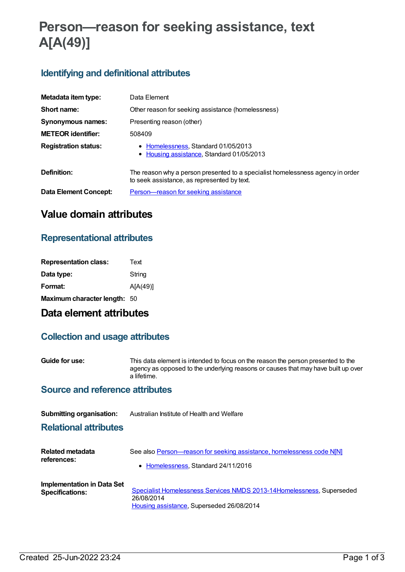# **Person—reason for seeking assistance, text A[A(49)]**

## **Identifying and definitional attributes**

| Metadata item type:          | Data Element                                                                                                                  |
|------------------------------|-------------------------------------------------------------------------------------------------------------------------------|
| Short name:                  | Other reason for seeking assistance (homelessness)                                                                            |
| Synonymous names:            | Presenting reason (other)                                                                                                     |
| <b>METEOR identifier:</b>    | 508409                                                                                                                        |
| <b>Registration status:</b>  | • Homelessness, Standard 01/05/2013<br>• Housing assistance, Standard 01/05/2013                                              |
| Definition:                  | The reason why a person presented to a specialist homelessness agency in order<br>to seek assistance, as represented by text. |
| <b>Data Element Concept:</b> | Person-reason for seeking assistance                                                                                          |

## **Value domain attributes**

## **Representational attributes**

| Text                         |
|------------------------------|
| String                       |
| A[A(49)]                     |
| Maximum character length: 50 |
|                              |

## **Data element attributes**

### **Collection and usage attributes**

**Guide for use:** This data element is intended to focus on the reason the person presented to the agency as opposed to the underlying reasons or causes that may have built up over a lifetime.

### **Source and reference attributes**

| <b>Submitting organisation:</b>                      | Australian Institute of Health and Welfare                                                                                        |
|------------------------------------------------------|-----------------------------------------------------------------------------------------------------------------------------------|
| <b>Relational attributes</b>                         |                                                                                                                                   |
| Related metadata<br>references:                      | See also Person-reason for seeking assistance, homelessness code N[N]<br>• Homelessness, Standard 24/11/2016                      |
| Implementation in Data Set<br><b>Specifications:</b> | Specialist Homelessness Services NMDS 2013-14 Homelessness, Superseded<br>26/08/2014<br>Housing assistance, Superseded 26/08/2014 |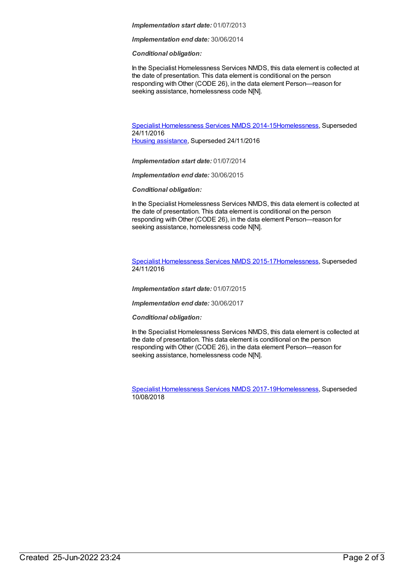#### *Implementation start date:* 01/07/2013

*Implementation end date:* 30/06/2014

#### *Conditional obligation:*

In the Specialist Homelessness Services NMDS, this data element is collected at the date of presentation. This data element is conditional on the person responding with Other (CODE 26), in the data element Person—reason for seeking assistance, homelessness code N[N].

Specialist [Homelessness](https://meteor.aihw.gov.au/content/581255) Services NMDS 2014-1[5Homelessness](https://meteor.aihw.gov.au/RegistrationAuthority/14), Superseded 24/11/2016 Housing [assistance](https://meteor.aihw.gov.au/RegistrationAuthority/11), Superseded 24/11/2016

*Implementation start date:* 01/07/2014

*Implementation end date:* 30/06/2015

*Conditional obligation:*

In the Specialist Homelessness Services NMDS, this data element is collected at the date of presentation. This data element is conditional on the person responding with Other (CODE 26), in the data element Person-reason for seeking assistance, homelessness code N[N].

Specialist [Homelessness](https://meteor.aihw.gov.au/content/658005) Services NMDS 2015-1[7Homelessness](https://meteor.aihw.gov.au/RegistrationAuthority/14), Superseded 24/11/2016

*Implementation start date:* 01/07/2015

*Implementation end date:* 30/06/2017

*Conditional obligation:*

In the Specialist Homelessness Services NMDS, this data element is collected at the date of presentation. This data element is conditional on the person responding with Other (CODE 26), in the data element Person-reason for seeking assistance, homelessness code N[N].

Specialist [Homelessness](https://meteor.aihw.gov.au/content/650006) Services NMDS 2017-1[9Homelessness](https://meteor.aihw.gov.au/RegistrationAuthority/14), Superseded 10/08/2018